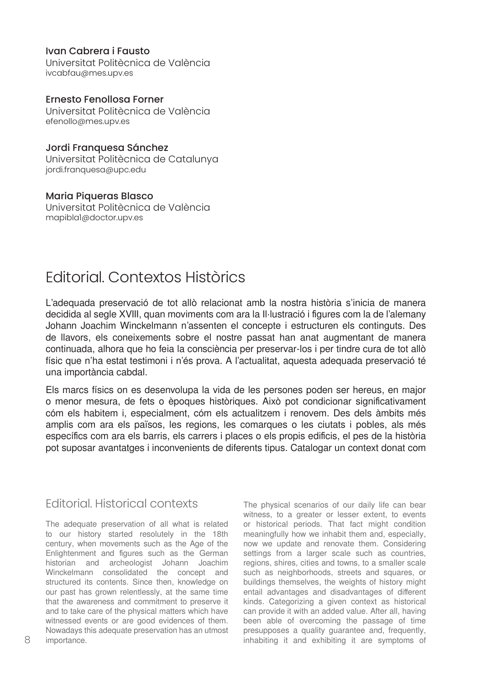### Ivan Cabrera i Fausto

Universitat Politècnica de València ivcabfau@mes.upv.es

### Ernesto Fenollosa Forner

Universitat Politècnica de València efenollo@mes.upv.es

## Jordi Franquesa Sánchez

Universitat Politècnica de Catalunya jordi.franquesa@upc.edu

# Maria Piqueras Blasco

Universitat Politècnica de València mapibla1@doctor.upv.es

# Editorial. Contextos Històrics

L'adequada preservació de tot allò relacionat amb la nostra història s'inicia de manera decidida al segle XVIII, quan moviments com ara la Il·lustració i figures com la de l'alemany Johann Joachim Winckelmann n'assenten el concepte i estructuren els continguts. Des de llavors, els coneixements sobre el nostre passat han anat augmentant de manera continuada, alhora que ho feia la consciència per preservar-los i per tindre cura de tot allò físic que n'ha estat testimoni i n'és prova. A l'actualitat, aquesta adequada preservació té una importància cabdal.

Els marcs físics on es desenvolupa la vida de les persones poden ser hereus, en major o menor mesura, de fets o èpoques històriques. Això pot condicionar significativament cóm els habitem i, especialment, cóm els actualitzem i renovem. Des dels àmbits més amplis com ara els països, les regions, les comarques o les ciutats i pobles, als més específics com ara els barris, els carrers i places o els propis edificis, el pes de la història pot suposar avantatges i inconvenients de diferents tipus. Catalogar un context donat com

# Editorial. Historical contexts

The adequate preservation of all what is related to our history started resolutely in the 18th century, when movements such as the Age of the Enlightenment and figures such as the German historian and archeologist Johann Joachim Winckelmann consolidated the concept and structured its contents. Since then, knowledge on our past has grown relentlessly, at the same time that the awareness and commitment to preserve it and to take care of the physical matters which have witnessed events or are good evidences of them. Nowadays this adequate preservation has an utmost importance.

The physical scenarios of our daily life can bear witness, to a greater or lesser extent, to events or historical periods. That fact might condition meaningfully how we inhabit them and, especially, now we update and renovate them. Considering settings from a larger scale such as countries, regions, shires, cities and towns, to a smaller scale such as neighborhoods, streets and squares, or buildings themselves, the weights of history might entail advantages and disadvantages of different kinds. Categorizing a given context as historical can provide it with an added value. After all, having been able of overcoming the passage of time presupposes a quality guarantee and, frequently, inhabiting it and exhibiting it are symptoms of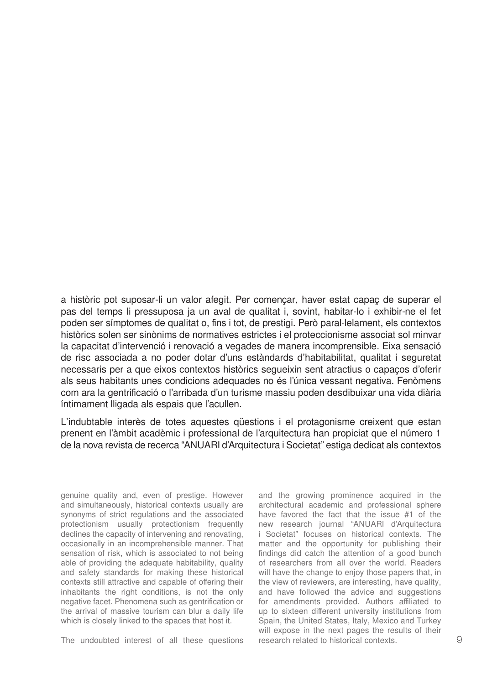a històric pot suposar-li un valor afegit. Per començar, haver estat capaç de superar el pas del temps li pressuposa ja un aval de qualitat i, sovint, habitar-lo i exhibir-ne el fet poden ser símptomes de qualitat o, fins i tot, de prestigi. Però paral·lelament, els contextos històrics solen ser sinònims de normatives estrictes i el proteccionisme associat sol minvar la capacitat d'intervenció i renovació a vegades de manera incomprensible. Eixa sensació de risc associada a no poder dotar d'uns estàndards d'habitabilitat, qualitat i seguretat necessaris per a que eixos contextos històrics segueixin sent atractius o capaços d'oferir als seus habitants unes condicions adequades no és l'única vessant negativa. Fenòmens com ara la gentrificació o l'arribada d'un turisme massiu poden desdibuixar una vida diària íntimament lligada als espais que l'acullen.

L'indubtable interès de totes aquestes qüestions i el protagonisme creixent que estan prenent en l'àmbit acadèmic i professional de l'arquitectura han propiciat que el número 1 de la nova revista de recerca "ANUARI d'Arquitectura i Societat" estiga dedicat als contextos

genuine quality and, even of prestige. However and simultaneously, historical contexts usually are synonyms of strict regulations and the associated protectionism usually protectionism frequently declines the capacity of intervening and renovating, occasionally in an incomprehensible manner. That sensation of risk, which is associated to not being able of providing the adequate habitability, quality and safety standards for making these historical contexts still attractive and capable of offering their inhabitants the right conditions, is not the only negative facet. Phenomena such as gentrification or the arrival of massive tourism can blur a daily life which is closely linked to the spaces that host it.

The undoubted interest of all these questions

and the growing prominence acquired in the architectural academic and professional sphere have favored the fact that the issue #1 of the new research journal "ANUARI d'Arquitectura i Societat" focuses on historical contexts. The matter and the opportunity for publishing their findings did catch the attention of a good bunch of researchers from all over the world. Readers will have the change to enjoy those papers that, in the view of reviewers, are interesting, have quality, and have followed the advice and suggestions for amendments provided. Authors affiliated to up to sixteen different university institutions from Spain, the United States, Italy, Mexico and Turkey will expose in the next pages the results of their research related to historical contexts.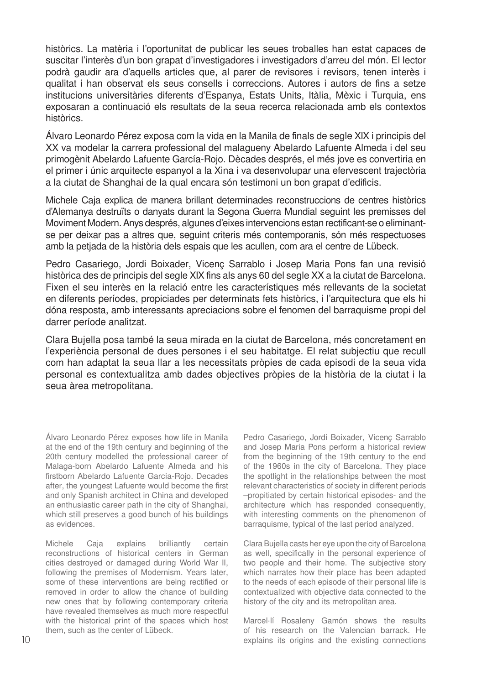històrics. La matèria i l'oportunitat de publicar les seues troballes han estat capaces de suscitar l'interès d'un bon grapat d'investigadores i investigadors d'arreu del món. El lector podrà gaudir ara d'aquells articles que, al parer de revisores i revisors, tenen interès i qualitat i han observat els seus consells i correccions. Autores i autors de fins a setze institucions universitàries diferents d'Espanya, Estats Units, Itàlia, Mèxic i Turquia, ens exposaran a continuació els resultats de la seua recerca relacionada amb els contextos històrics.

Álvaro Leonardo Pérez exposa com la vida en la Manila de finals de segle XIX i principis del XX va modelar la carrera professional del malagueny Abelardo Lafuente Almeda i del seu primogènit Abelardo Lafuente García-Rojo. Dècades després, el més jove es convertiria en el primer i únic arquitecte espanyol a la Xina i va desenvolupar una efervescent trajectòria a la ciutat de Shanghai de la qual encara són testimoni un bon grapat d'edificis.

Michele Caja explica de manera brillant determinades reconstruccions de centres històrics d'Alemanya destruïts o danyats durant la Segona Guerra Mundial seguint les premisses del Moviment Modern. Anys després, algunes d'eixes intervencions estan rectificant-se o eliminantse per deixar pas a altres que, seguint criteris més contemporanis, són més respectuoses amb la petjada de la història dels espais que les acullen, com ara el centre de Lübeck.

Pedro Casariego, Jordi Boixader, Vicenç Sarrablo i Josep Maria Pons fan una revisió històrica des de principis del segle XIX fins als anys 60 del segle XX a la ciutat de Barcelona. Fixen el seu interès en la relació entre les característiques més rellevants de la societat en diferents períodes, propiciades per determinats fets històrics, i l'arquitectura que els hi dóna resposta, amb interessants apreciacions sobre el fenomen del barraquisme propi del darrer període analitzat.

Clara Bujella posa també la seua mirada en la ciutat de Barcelona, més concretament en l'experiència personal de dues persones i el seu habitatge. El relat subjectiu que recull com han adaptat la seua llar a les necessitats pròpies de cada episodi de la seua vida personal es contextualitza amb dades objectives pròpies de la història de la ciutat i la seua àrea metropolitana.

Álvaro Leonardo Pérez exposes how life in Manila at the end of the 19th century and beginning of the 20th century modelled the professional career of Malaga-born Abelardo Lafuente Almeda and his firstborn Abelardo Lafuente García-Rojo. Decades after, the youngest Lafuente would become the first and only Spanish architect in China and developed an enthusiastic career path in the city of Shanghai, which still preserves a good bunch of his buildings as evidences.

Michele Caja explains brilliantly certain reconstructions of historical centers in German cities destroyed or damaged during World War II, following the premises of Modernism. Years later, some of these interventions are being rectified or removed in order to allow the chance of building new ones that by following contemporary criteria have revealed themselves as much more respectful with the historical print of the spaces which host them, such as the center of Lübeck.

Pedro Casariego, Jordi Boixader, Vicenç Sarrablo and Josep Maria Pons perform a historical review from the beginning of the 19th century to the end of the 1960s in the city of Barcelona. They place the spotlight in the relationships between the most relevant characteristics of society in different periods –propitiated by certain historical episodes- and the architecture which has responded consequently, with interesting comments on the phenomenon of barraquisme, typical of the last period analyzed.

Clara Bujella casts her eye upon the city of Barcelona as well, specifically in the personal experience of two people and their home. The subjective story which narrates how their place has been adapted to the needs of each episode of their personal life is contextualized with objective data connected to the history of the city and its metropolitan area.

Marcel·lí Rosaleny Gamón shows the results of his research on the Valencian barrack. He explains its origins and the existing connections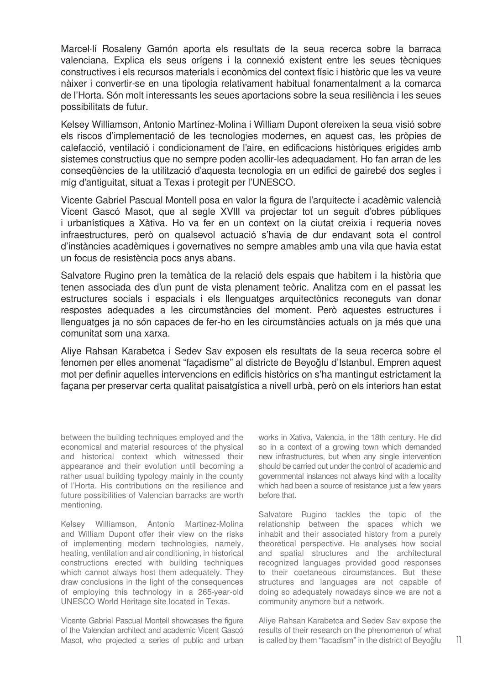Marcel·lí Rosaleny Gamón aporta els resultats de la seua recerca sobre la barraca valenciana. Explica els seus orígens i la connexió existent entre les seues tècniques constructives i els recursos materials i econòmics del context físic i històric que les va veure nàixer i convertir-se en una tipologia relativament habitual fonamentalment a la comarca de l'Horta. Són molt interessants les seues aportacions sobre la seua resiliència i les seues possibilitats de futur.

Kelsey Williamson, Antonio Martínez-Molina i William Dupont ofereixen la seua visió sobre els riscos d'implementació de les tecnologies modernes, en aquest cas, les pròpies de calefacció, ventilació i condicionament de l'aire, en edificacions històriques erigides amb sistemes constructius que no sempre poden acollir-les adequadament. Ho fan arran de les conseqüències de la utilització d'aquesta tecnologia en un edifici de gairebé dos segles i mig d'antiguitat, situat a Texas i protegit per l'UNESCO.

Vicente Gabriel Pascual Montell posa en valor la figura de l'arquitecte i acadèmic valencià Vicent Gascó Masot, que al segle XVIII va projectar tot un seguit d'obres públiques i urbanístiques a Xàtiva. Ho va fer en un context on la ciutat creixia i requeria noves infraestructures, però on qualsevol actuació s'havia de dur endavant sota el control d'instàncies acadèmiques i governatives no sempre amables amb una vila que havia estat un focus de resistència pocs anys abans.

Salvatore Rugino pren la temàtica de la relació dels espais que habitem i la història que tenen associada des d'un punt de vista plenament teòric. Analitza com en el passat les estructures socials i espacials i els llenguatges arquitectònics reconeguts van donar respostes adequades a les circumstàncies del moment. Però aquestes estructures i llenguatges ja no són capaces de fer-ho en les circumstàncies actuals on ja més que una comunitat som una xarxa.

Aliye Rahsan Karabetca i Sedev Sav exposen els resultats de la seua recerca sobre el fenomen per elles anomenat "façadisme" al districte de Beyoğlu d'Istanbul. Empren aquest mot per definir aquelles intervencions en edificis històrics on s'ha mantingut estrictament la façana per preservar certa qualitat paisatgística a nivell urbà, però on els interiors han estat

between the building techniques employed and the economical and material resources of the physical and historical context which witnessed their appearance and their evolution until becoming a rather usual building typology mainly in the county of l'Horta. His contributions on the resilience and future possibilities of Valencian barracks are worth mentioning.

Kelsey Williamson, Antonio Martínez-Molina and William Dupont offer their view on the risks of implementing modern technologies, namely, heating, ventilation and air conditioning, in historical constructions erected with building techniques which cannot always host them adequately. They draw conclusions in the light of the consequences of employing this technology in a 265-year-old UNESCO World Heritage site located in Texas.

Vicente Gabriel Pascual Montell showcases the figure of the Valencian architect and academic Vicent Gascó Masot, who projected a series of public and urban works in Xativa, Valencia, in the 18th century. He did so in a context of a growing town which demanded new infrastructures, but when any single intervention should be carried out under the control of academic and governmental instances not always kind with a locality which had been a source of resistance just a few years before that.

Salvatore Rugino tackles the topic of the relationship between the spaces which we inhabit and their associated history from a purely theoretical perspective. He analyses how social and spatial structures and the architectural recognized languages provided good responses to their coetaneous circumstances. But these structures and languages are not capable of doing so adequately nowadays since we are not a community anymore but a network.

Aliye Rahsan Karabetca and Sedev Sav expose the results of their research on the phenomenon of what is called by them "facadism" in the district of Beyoğlu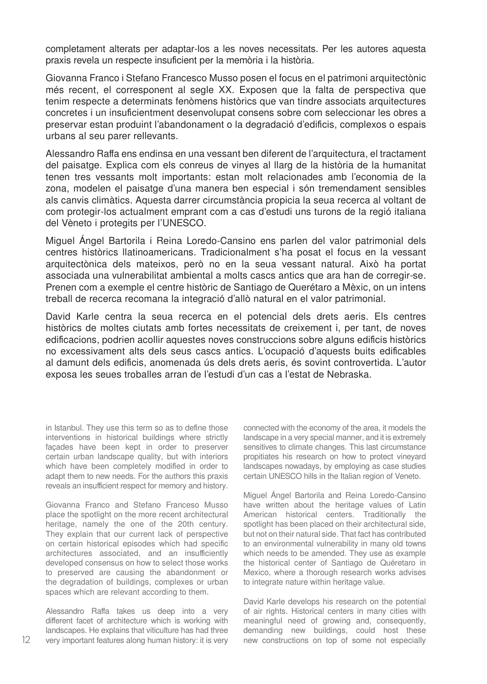completament alterats per adaptar-los a les noves necessitats. Per les autores aquesta praxis revela un respecte insuficient per la memòria i la història.

Giovanna Franco i Stefano Francesco Musso posen el focus en el patrimoni arquitectònic més recent, el corresponent al segle XX. Exposen que la falta de perspectiva que tenim respecte a determinats fenòmens històrics que van tindre associats arquitectures concretes i un insuficientment desenvolupat consens sobre com seleccionar les obres a preservar estan produint l'abandonament o la degradació d'edificis, complexos o espais urbans al seu parer rellevants.

Alessandro Raffa ens endinsa en una vessant ben diferent de l'arquitectura, el tractament del paisatge. Explica com els conreus de vinyes al llarg de la història de la humanitat tenen tres vessants molt importants: estan molt relacionades amb l'economia de la zona, modelen el paisatge d'una manera ben especial i són tremendament sensibles als canvis climàtics. Aquesta darrer circumstància propicia la seua recerca al voltant de com protegir-los actualment emprant com a cas d'estudi uns turons de la regió italiana del Vèneto i protegits per l'UNESCO.

Miguel Ángel Bartorila i Reina Loredo-Cansino ens parlen del valor patrimonial dels centres històrics llatinoamericans. Tradicionalment s'ha posat el focus en la vessant arquitectònica dels mateixos, però no en la seua vessant natural. Això ha portat associada una vulnerabilitat ambiental a molts cascs antics que ara han de corregir-se. Prenen com a exemple el centre històric de Santiago de Querétaro a Mèxic, on un intens treball de recerca recomana la integració d'allò natural en el valor patrimonial.

David Karle centra la seua recerca en el potencial dels drets aeris. Els centres històrics de moltes ciutats amb fortes necessitats de creixement i, per tant, de noves edificacions, podrien acollir aquestes noves construccions sobre alguns edificis històrics no excessivament alts dels seus cascs antics. L'ocupació d'aquests buits edificables al damunt dels edificis, anomenada ús dels drets aeris, és sovint controvertida. L'autor exposa les seues troballes arran de l'estudi d'un cas a l'estat de Nebraska.

in Istanbul. They use this term so as to define those interventions in historical buildings where strictly façades have been kept in order to preserver certain urban landscape quality, but with interiors which have been completely modified in order to adapt them to new needs. For the authors this praxis reveals an insufficient respect for memory and history.

Giovanna Franco and Stefano Franceso Musso place the spotlight on the more recent architectural heritage, namely the one of the 20th century. They explain that our current lack of perspective on certain historical episodes which had specific architectures associated, and an insufficiently developed consensus on how to select those works to preserved are causing the abandonment or the degradation of buildings, complexes or urban spaces which are relevant according to them.

Alessandro Raffa takes us deep into a very different facet of architecture which is working with landscapes. He explains that viticulture has had three very important features along human history: it is very connected with the economy of the area, it models the landscape in a very special manner, and it is extremely sensitives to climate changes. This last circumstance propitiates his research on how to protect vineyard landscapes nowadays, by employing as case studies certain UNESCO hills in the Italian region of Veneto.

Miguel Ángel Bartorila and Reina Loredo-Cansino have written about the heritage values of Latin American historical centers. Traditionally the spotlight has been placed on their architectural side, but not on their natural side. That fact has contributed to an environmental vulnerability in many old towns which needs to be amended. They use as example the historical center of Santiago de Quéretaro in Mexico, where a thorough research works advises to integrate nature within heritage value.

David Karle develops his research on the potential of air rights. Historical centers in many cities with meaningful need of growing and, consequently, demanding new buildings, could host these new constructions on top of some not especially